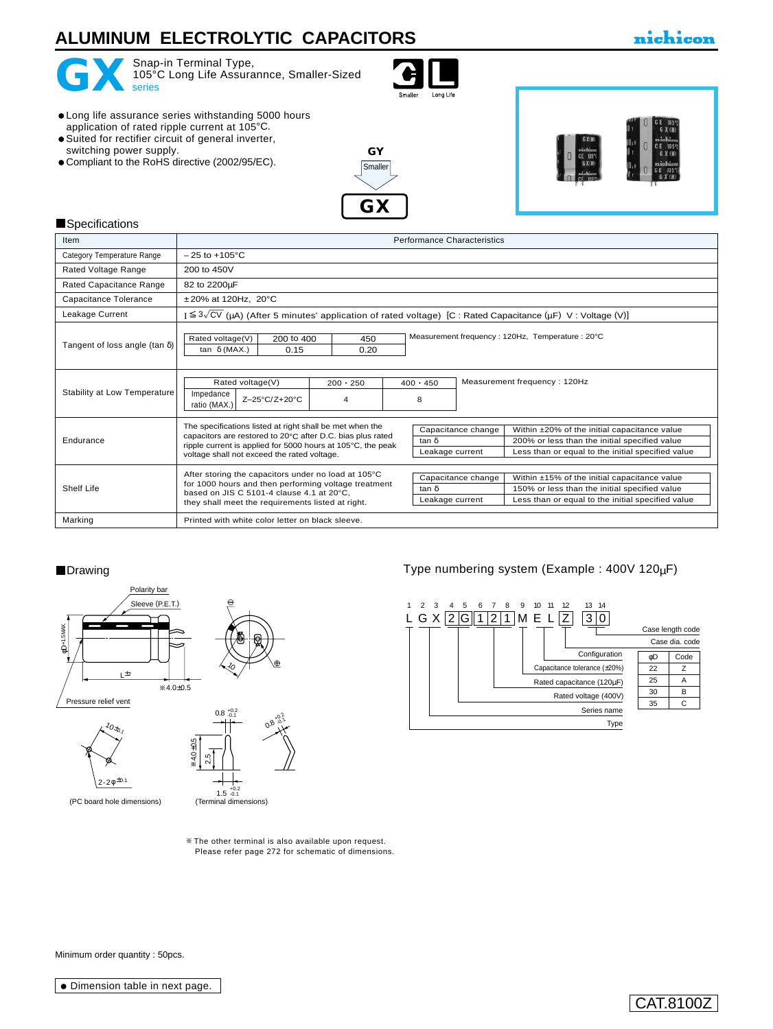# **ALUMINUM ELECTROLYTIC CAPACITORS**

## nichicon



Snap-in Terminal Type, 105°C Long Life Assurannce, Smaller-Sized<br>series



- Long life assurance series withstanding 5000 hours application of rated ripple current at 105°C.
- Suited for rectifier circuit of general inverter,
- switching power supply.
- Compliant to the RoHS directive (2002/95/EC).





#### **Specifications**

| Item                                  | <b>Performance Characteristics</b>                                                                                                                                                                                                   |                      |                                                                                                                                                                                                             |  |  |  |  |
|---------------------------------------|--------------------------------------------------------------------------------------------------------------------------------------------------------------------------------------------------------------------------------------|----------------------|-------------------------------------------------------------------------------------------------------------------------------------------------------------------------------------------------------------|--|--|--|--|
| Category Temperature Range            | $-25$ to $+105^{\circ}$ C                                                                                                                                                                                                            |                      |                                                                                                                                                                                                             |  |  |  |  |
| Rated Voltage Range                   | 200 to 450V                                                                                                                                                                                                                          |                      |                                                                                                                                                                                                             |  |  |  |  |
| Rated Capacitance Range               | 82 to 2200µF                                                                                                                                                                                                                         |                      |                                                                                                                                                                                                             |  |  |  |  |
| Capacitance Tolerance                 | $±20\%$ at 120Hz, 20 $°C$                                                                                                                                                                                                            |                      |                                                                                                                                                                                                             |  |  |  |  |
| Leakage Current                       |                                                                                                                                                                                                                                      |                      | I $\leq 3\sqrt{CV}$ (µA) (After 5 minutes' application of rated voltage) [C : Rated Capacitance (µF) V : Voltage (V)]                                                                                       |  |  |  |  |
| Tangent of loss angle (tan $\delta$ ) | Measurement frequency: 120Hz, Temperature: 20°C<br>Rated voltage(V)<br>200 to 400<br>450<br>0.15<br>0.20<br>tan $\delta$ (MAX.)                                                                                                      |                      |                                                                                                                                                                                                             |  |  |  |  |
| Stability at Low Temperature          | Rated voltage(V)<br>Impedance<br>Z-25°C/Z+20°C<br>ratio (MAX.)                                                                                                                                                                       | $200 \cdot 250$<br>4 | Measurement frequency: 120Hz<br>$400 \cdot 450$<br>8                                                                                                                                                        |  |  |  |  |
| Endurance                             | The specifications listed at right shall be met when the<br>capacitors are restored to 20°C after D.C. bias plus rated<br>ripple current is applied for 5000 hours at 105°C, the peak<br>voltage shall not exceed the rated voltage. |                      | Capacitance change<br>Within ±20% of the initial capacitance value<br>tan δ<br>200% or less than the initial specified value<br>Less than or equal to the initial specified value<br>Leakage current        |  |  |  |  |
| Shelf Life                            | After storing the capacitors under no load at 105°C<br>for 1000 hours and then performing voltage treatment<br>based on JIS C 5101-4 clause 4.1 at 20°C.<br>they shall meet the requirements listed at right.                        |                      | Capacitance change<br>Within ±15% of the initial capacitance value<br>$tan \delta$<br>150% or less than the initial specified value<br>Less than or equal to the initial specified value<br>Leakage current |  |  |  |  |
| Marking                               | Printed with white color letter on black sleeve.                                                                                                                                                                                     |                      |                                                                                                                                                                                                             |  |  |  |  |

### ■Drawing Type numbering system (Example : 400V 120µF)



+0.2 -0.1



The other terminal is also available upon request. [Please refer page 272 for schematic of dimensions.](e-term.pdf)

Minimum order quantity : 50pcs.

## CAT.8100Z